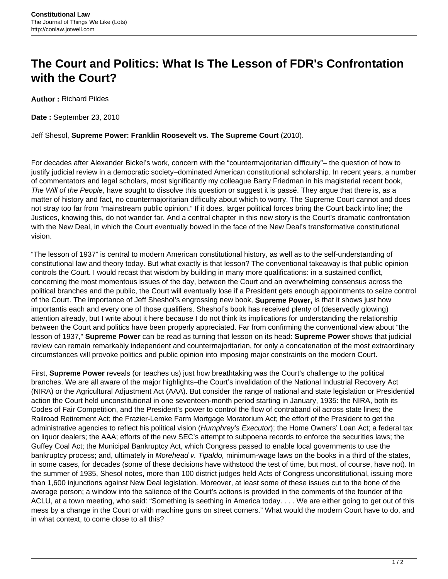## **The Court and Politics: What Is The Lesson of FDR's Confrontation with the Court?**

**Author :** Richard Pildes

**Date :** September 23, 2010

Jeff Shesol, **Supreme Power: Franklin Roosevelt vs. The Supreme Court** (2010).

For decades after Alexander Bickel's work, concern with the "countermajoritarian difficulty"– the question of how to justify judicial review in a democratic society–dominated American constitutional scholarship. In recent years, a number of commentators and legal scholars, most significantly my colleague Barry Friedman in his magisterial recent book, The Will of the People, have sought to dissolve this question or suggest it is passé. They argue that there is, as a matter of history and fact, no countermajoritarian difficulty about which to worry. The Supreme Court cannot and does not stray too far from "mainstream public opinion." If it does, larger political forces bring the Court back into line; the Justices, knowing this, do not wander far. And a central chapter in this new story is the Court's dramatic confrontation with the New Deal, in which the Court eventually bowed in the face of the New Deal's transformative constitutional vision.

"The lesson of 1937" is central to modern American constitutional history, as well as to the self-understanding of constitutional law and theory today. But what exactly is that lesson? The conventional takeaway is that public opinion controls the Court. I would recast that wisdom by building in many more qualifications: in a sustained conflict, concerning the most momentous issues of the day, between the Court and an overwhelming consensus across the political branches and the public, the Court will eventually lose if a President gets enough appointments to seize control of the Court. The importance of Jeff Sheshol's engrossing new book, **Supreme Power,** is that it shows just how importantis each and every one of those qualifiers. Sheshol's book has received plenty of (deservedly glowing) attention already, but I write about it here because I do not think its implications for understanding the relationship between the Court and politics have been properly appreciated. Far from confirming the conventional view about "the lesson of 1937," **Supreme Power** can be read as turning that lesson on its head: **Supreme Power** shows that judicial review can remain remarkably independent and countermajoritarian, for only a concatenation of the most extraordinary circumstances will provoke politics and public opinion into imposing major constraints on the modern Court.

First, **Supreme Power** reveals (or teaches us) just how breathtaking was the Court's challenge to the political branches. We are all aware of the major highlights–the Court's invalidation of the National Industrial Recovery Act (NIRA) or the Agricultural Adjustment Act (AAA). But consider the range of national and state legislation or Presidential action the Court held unconstitutional in one seventeen-month period starting in January, 1935: the NIRA, both its Codes of Fair Competition, and the President's power to control the flow of contraband oil across state lines; the Railroad Retirement Act; the Frazier-Lemke Farm Mortgage Moratorium Act; the effort of the President to get the administrative agencies to reflect his political vision (Humphrey's Executor); the Home Owners' Loan Act; a federal tax on liquor dealers; the AAA; efforts of the new SEC's attempt to subpoena records to enforce the securities laws; the Guffey Coal Act; the Municipal Bankruptcy Act, which Congress passed to enable local governments to use the bankruptcy process; and, ultimately in *Morehead v. Tipaldo*, minimum-wage laws on the books in a third of the states, in some cases, for decades (some of these decisions have withstood the test of time, but most, of course, have not). In the summer of 1935, Shesol notes, more than 100 district judges held Acts of Congress unconstitutional, issuing more than 1,600 injunctions against New Deal legislation. Moreover, at least some of these issues cut to the bone of the average person; a window into the salience of the Court's actions is provided in the comments of the founder of the ACLU, at a town meeting, who said: "Something is seething in America today. . . . We are either going to get out of this mess by a change in the Court or with machine guns on street corners." What would the modern Court have to do, and in what context, to come close to all this?